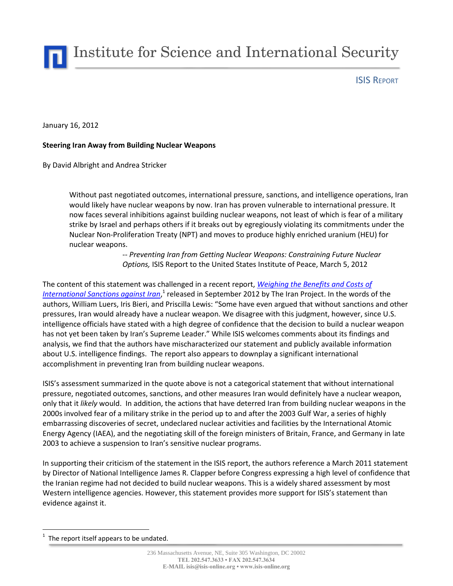Institute for Science and International Security

ISIS REPORT

January 16, 2012

## **Steering Iran Away from Building Nuclear Weapons**

By David Albright and Andrea Stricker

Without past negotiated outcomes, international pressure, sanctions, and intelligence operations, Iran would likely have nuclear weapons by now. Iran has proven vulnerable to international pressure. It now faces several inhibitions against building nuclear weapons, not least of which is fear of a military strike by Israel and perhaps others if it breaks out by egregiously violating its commitments under the Nuclear Non-Proliferation Treaty (NPT) and moves to produce highly enriched uranium (HEU) for nuclear weapons.

> -- *Preventing Iran from Getting Nuclear Weapons: Constraining Future Nuclear Options,* ISIS Report to the United States Institute of Peace, March 5, 2012

The content of this statement was challenged in a recent report, *[Weighing the Benefits and Costs of](http://www.scribd.com/doc/115678817/IranReport2-120312-2#fullscreen)*  [International Sanctions against Iran](http://www.scribd.com/doc/115678817/IranReport2-120312-2#fullscreen),<sup>1</sup> released in September 2012 by The Iran Project. In the words of the authors, William Luers, Iris Bieri, and Priscilla Lewis: "Some have even argued that without sanctions and other pressures, Iran would already have a nuclear weapon. We disagree with this judgment, however, since U.S. intelligence officials have stated with a high degree of confidence that the decision to build a nuclear weapon has not yet been taken by Iran's Supreme Leader." While ISIS welcomes comments about its findings and analysis, we find that the authors have mischaracterized our statement and publicly available information about U.S. intelligence findings. The report also appears to downplay a significant international accomplishment in preventing Iran from building nuclear weapons.

ISIS's assessment summarized in the quote above is not a categorical statement that without international pressure, negotiated outcomes, sanctions, and other measures Iran would definitely have a nuclear weapon, only that it *likely* would. In addition, the actions that have deterred Iran from building nuclear weapons in the 2000s involved fear of a military strike in the period up to and after the 2003 Gulf War, a series of highly embarrassing discoveries of secret, undeclared nuclear activities and facilities by the International Atomic Energy Agency (IAEA), and the negotiating skill of the foreign ministers of Britain, France, and Germany in late 2003 to achieve a suspension to Iran's sensitive nuclear programs.

In supporting their criticism of the statement in the ISIS report, the authors reference a March 2011 statement by Director of National Intelligence James R. Clapper before Congress expressing a high level of confidence that the Iranian regime had not decided to build nuclear weapons. This is a widely shared assessment by most Western intelligence agencies. However, this statement provides more support for ISIS's statement than evidence against it.

 $\overline{a}$ 

<sup>1</sup> The report itself appears to be undated.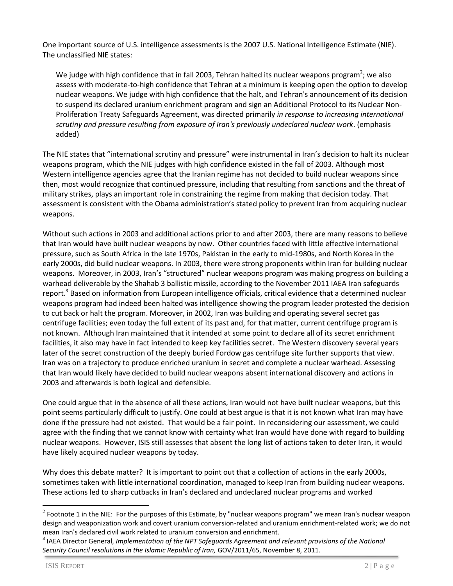One important source of U.S. intelligence assessments is the 2007 U.S. National Intelligence Estimate (NIE). The unclassified NIE states:

We judge with high confidence that in fall 2003, Tehran halted its nuclear weapons program<sup>2</sup>; we also assess with moderate-to-high confidence that Tehran at a minimum is keeping open the option to develop nuclear weapons. We judge with high confidence that the halt, and Tehran's announcement of its decision to suspend its declared uranium enrichment program and sign an Additional Protocol to its Nuclear Non-Proliferation Treaty Safeguards Agreement, was directed primarily *in response to increasing international scrutiny and pressure resulting from exposure of Iran's previously undeclared nuclear work*. (emphasis added)

The NIE states that "international scrutiny and pressure" were instrumental in Iran's decision to halt its nuclear weapons program, which the NIE judges with high confidence existed in the fall of 2003. Although most Western intelligence agencies agree that the Iranian regime has not decided to build nuclear weapons since then, most would recognize that continued pressure, including that resulting from sanctions and the threat of military strikes, plays an important role in constraining the regime from making that decision today. That assessment is consistent with the Obama administration's stated policy to prevent Iran from acquiring nuclear weapons.

Without such actions in 2003 and additional actions prior to and after 2003, there are many reasons to believe that Iran would have built nuclear weapons by now. Other countries faced with little effective international pressure, such as South Africa in the late 1970s, Pakistan in the early to mid-1980s, and North Korea in the early 2000s, did build nuclear weapons. In 2003, there were strong proponents within Iran for building nuclear weapons. Moreover, in 2003, Iran's "structured" nuclear weapons program was making progress on building a warhead deliverable by the Shahab 3 ballistic missile, according to the November 2011 IAEA Iran safeguards report.<sup>3</sup> Based on information from European intelligence officials, critical evidence that a determined nuclear weapons program had indeed been halted was intelligence showing the program leader protested the decision to cut back or halt the program. Moreover, in 2002, Iran was building and operating several secret gas centrifuge facilities; even today the full extent of its past and, for that matter, current centrifuge program is not known. Although Iran maintained that it intended at some point to declare all of its secret enrichment facilities, it also may have in fact intended to keep key facilities secret. The Western discovery several years later of the secret construction of the deeply buried Fordow gas centrifuge site further supports that view. Iran was on a trajectory to produce enriched uranium in secret and complete a nuclear warhead. Assessing that Iran would likely have decided to build nuclear weapons absent international discovery and actions in 2003 and afterwards is both logical and defensible.

One could argue that in the absence of all these actions, Iran would not have built nuclear weapons, but this point seems particularly difficult to justify. One could at best argue is that it is not known what Iran may have done if the pressure had not existed. That would be a fair point. In reconsidering our assessment, we could agree with the finding that we cannot know with certainty what Iran would have done with regard to building nuclear weapons. However, ISIS still assesses that absent the long list of actions taken to deter Iran, it would have likely acquired nuclear weapons by today.

Why does this debate matter? It is important to point out that a collection of actions in the early 2000s, sometimes taken with little international coordination, managed to keep Iran from building nuclear weapons. These actions led to sharp cutbacks in Iran's declared and undeclared nuclear programs and worked

 $\overline{a}$ 

<sup>&</sup>lt;sup>2</sup> Footnote 1 in the NIE: For the purposes of this Estimate, by "nuclear weapons program" we mean Iran's nuclear weapon design and weaponization work and covert uranium conversion-related and uranium enrichment-related work; we do not mean Iran's declared civil work related to uranium conversion and enrichment.

<sup>&</sup>lt;sup>3</sup> IAEA Director General, *Implementation of the NPT Safeguards Agreement and relevant provisions of the National Security Council resolutions in the Islamic Republic of Iran,* GOV/2011/65, November 8, 2011.